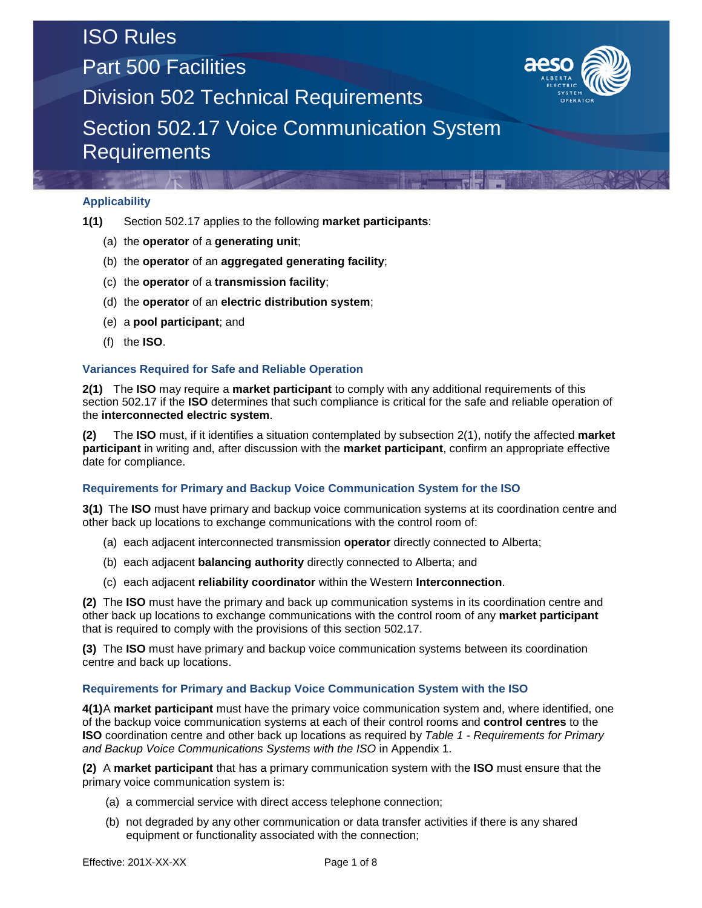# ISO Rules Part 500 Facilities



Division 502 Technical Requirements

Section 502.17 Voice Communication System **Requirements** 

#### **Applicability**

- **1(1)** Section 502.17 applies to the following **market participants**:
	- (a) the **operator** of a **generating unit**;
	- (b) the **operator** of an **aggregated generating facility**;
	- (c) the **operator** of a **transmission facility**;
	- (d) the **operator** of an **electric distribution system**;
	- (e) a **pool participant**; and
	- (f) the **ISO**.

#### **Variances Required for Safe and Reliable Operation**

**2(1)** The **ISO** may require a **market participant** to comply with any additional requirements of this section 502.17 if the **ISO** determines that such compliance is critical for the safe and reliable operation of the **interconnected electric system**.

**(2)** The **ISO** must, if it identifies a situation contemplated by subsection 2(1), notify the affected **market participant** in writing and, after discussion with the **market participant**, confirm an appropriate effective date for compliance.

#### **Requirements for Primary and Backup Voice Communication System for the ISO**

**3(1)** The **ISO** must have primary and backup voice communication systems at its coordination centre and other back up locations to exchange communications with the control room of:

- (a) each adjacent interconnected transmission **operator** directly connected to Alberta;
- (b) each adjacent **balancing authority** directly connected to Alberta; and
- (c) each adjacent **reliability coordinator** within the Western **Interconnection**.

**(2)** The **ISO** must have the primary and back up communication systems in its coordination centre and other back up locations to exchange communications with the control room of any **market participant** that is required to comply with the provisions of this section 502.17.

**(3)** The **ISO** must have primary and backup voice communication systems between its coordination centre and back up locations.

#### **Requirements for Primary and Backup Voice Communication System with the ISO**

**4(1)**A **market participant** must have the primary voice communication system and, where identified, one of the backup voice communication systems at each of their control rooms and **control centres** to the **ISO** coordination centre and other back up locations as required by *Table 1 - Requirements for Primary and Backup Voice Communications Systems with the ISO* in Appendix 1.

**(2)** A **market participant** that has a primary communication system with the **ISO** must ensure that the primary voice communication system is:

- (a) a commercial service with direct access telephone connection;
- (b) not degraded by any other communication or data transfer activities if there is any shared equipment or functionality associated with the connection;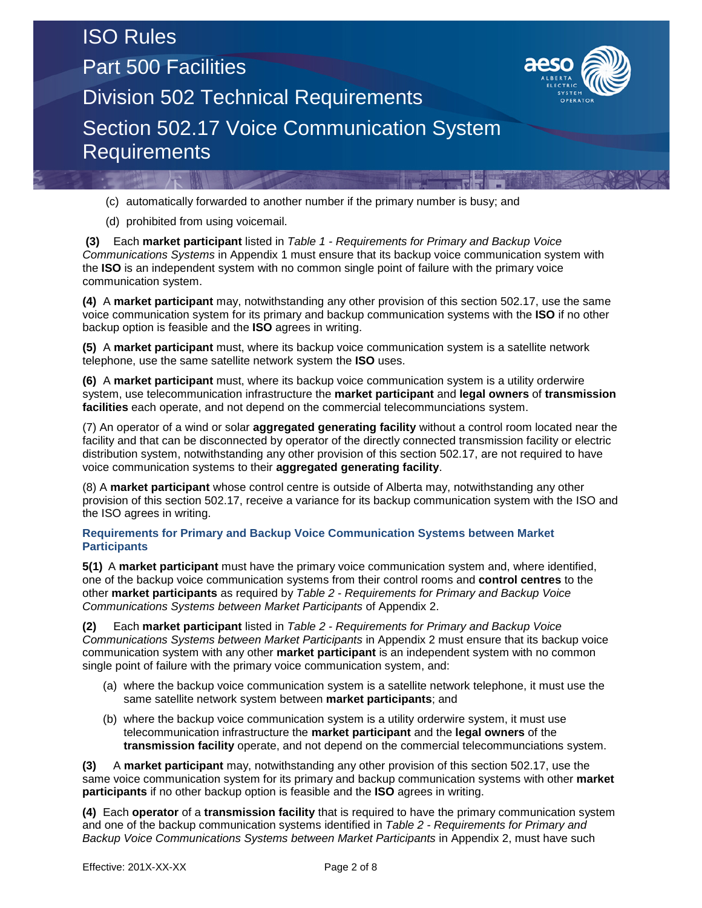### ISO Rules

**Requirements** 

Part 500 Facilities



Division 502 Technical Requirements Section 502.17 Voice Communication System

(c) automatically forwarded to another number if the primary number is busy; and

(d) prohibited from using voicemail.

**(3)** Each **market participant** listed in *Table 1 - Requirements for Primary and Backup Voice Communications Systems* in Appendix 1 must ensure that its backup voice communication system with the **ISO** is an independent system with no common single point of failure with the primary voice communication system.

**(4)** A **market participant** may, notwithstanding any other provision of this section 502.17, use the same voice communication system for its primary and backup communication systems with the **ISO** if no other backup option is feasible and the **ISO** agrees in writing.

**(5)** A **market participant** must, where its backup voice communication system is a satellite network telephone, use the same satellite network system the **ISO** uses.

**(6)** A **market participant** must, where its backup voice communication system is a utility orderwire system, use telecommunication infrastructure the **market participant** and **legal owners** of **transmission facilities** each operate, and not depend on the commercial telecommunciations system.

(7) An operator of a wind or solar **aggregated generating facility** without a control room located near the facility and that can be disconnected by operator of the directly connected transmission facility or electric distribution system, notwithstanding any other provision of this section 502.17, are not required to have voice communication systems to their **aggregated generating facility**.

(8) A **market participant** whose control centre is outside of Alberta may, notwithstanding any other provision of this section 502.17, receive a variance for its backup communication system with the ISO and the ISO agrees in writing.

#### **Requirements for Primary and Backup Voice Communication Systems between Market Participants**

**5(1)** A **market participant** must have the primary voice communication system and, where identified, one of the backup voice communication systems from their control rooms and **control centres** to the other **market participants** as required by *Table 2 - Requirements for Primary and Backup Voice Communications Systems between Market Participants* of Appendix 2.

**(2)** Each **market participant** listed in *Table 2 - Requirements for Primary and Backup Voice Communications Systems between Market Participants* in Appendix 2 must ensure that its backup voice communication system with any other **market participant** is an independent system with no common single point of failure with the primary voice communication system, and:

- (a) where the backup voice communication system is a satellite network telephone, it must use the same satellite network system between **market participants**; and
- (b) where the backup voice communication system is a utility orderwire system, it must use telecommunication infrastructure the **market participant** and the **legal owners** of the **transmission facility** operate, and not depend on the commercial telecommunciations system.

**(3)** A **market participant** may, notwithstanding any other provision of this section 502.17, use the same voice communication system for its primary and backup communication systems with other **market participants** if no other backup option is feasible and the **ISO** agrees in writing.

**(4)** Each **operator** of a **transmission facility** that is required to have the primary communication system and one of the backup communication systems identified in *Table 2 - Requirements for Primary and Backup Voice Communications Systems between Market Participants* in Appendix 2, must have such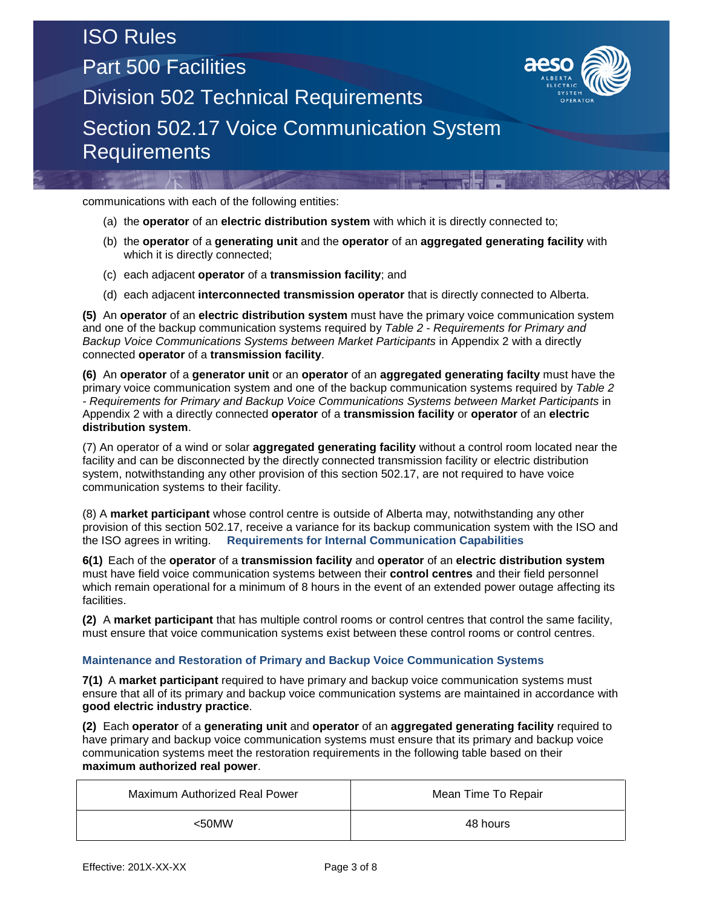## ISO Rules Part 500 Facilities Division 502 Technical Requirements Section 502.17 Voice Communication System **Requirements**



communications with each of the following entities:

- (a) the **operator** of an **electric distribution system** with which it is directly connected to;
- (b) the **operator** of a **generating unit** and the **operator** of an **aggregated generating facility** with which it is directly connected;
- (c) each adjacent **operator** of a **transmission facility**; and
- (d) each adjacent **interconnected transmission operator** that is directly connected to Alberta.

**(5)** An **operator** of an **electric distribution system** must have the primary voice communication system and one of the backup communication systems required by *Table 2 - Requirements for Primary and Backup Voice Communications Systems between Market Participants* in Appendix 2 with a directly connected **operator** of a **transmission facility**.

**(6)** An **operator** of a **generator unit** or an **operator** of an **aggregated generating facilty** must have the primary voice communication system and one of the backup communication systems required by *Table 2 - Requirements for Primary and Backup Voice Communications Systems between Market Participants* in Appendix 2 with a directly connected **operator** of a **transmission facility** or **operator** of an **electric distribution system**.

(7) An operator of a wind or solar **aggregated generating facility** without a control room located near the facility and can be disconnected by the directly connected transmission facility or electric distribution system, notwithstanding any other provision of this section 502.17, are not required to have voice communication systems to their facility.

(8) A **market participant** whose control centre is outside of Alberta may, notwithstanding any other provision of this section 502.17, receive a variance for its backup communication system with the ISO and the ISO agrees in writing. **Requirements for Internal Communication Capabilities** 

**6(1)** Each of the **operator** of a **transmission facility** and **operator** of an **electric distribution system** must have field voice communication systems between their **control centres** and their field personnel which remain operational for a minimum of 8 hours in the event of an extended power outage affecting its facilities.

**(2)** A **market participant** that has multiple control rooms or control centres that control the same facility, must ensure that voice communication systems exist between these control rooms or control centres.

#### **Maintenance and Restoration of Primary and Backup Voice Communication Systems**

**7(1)** A **market participant** required to have primary and backup voice communication systems must ensure that all of its primary and backup voice communication systems are maintained in accordance with **good electric industry practice**.

**(2)** Each **operator** of a **generating unit** and **operator** of an **aggregated generating facility** required to have primary and backup voice communication systems must ensure that its primary and backup voice communication systems meet the restoration requirements in the following table based on their **maximum authorized real power**.

| Maximum Authorized Real Power | Mean Time To Repair |  |  |  |
|-------------------------------|---------------------|--|--|--|
| $50$ MW                       | 48 hours            |  |  |  |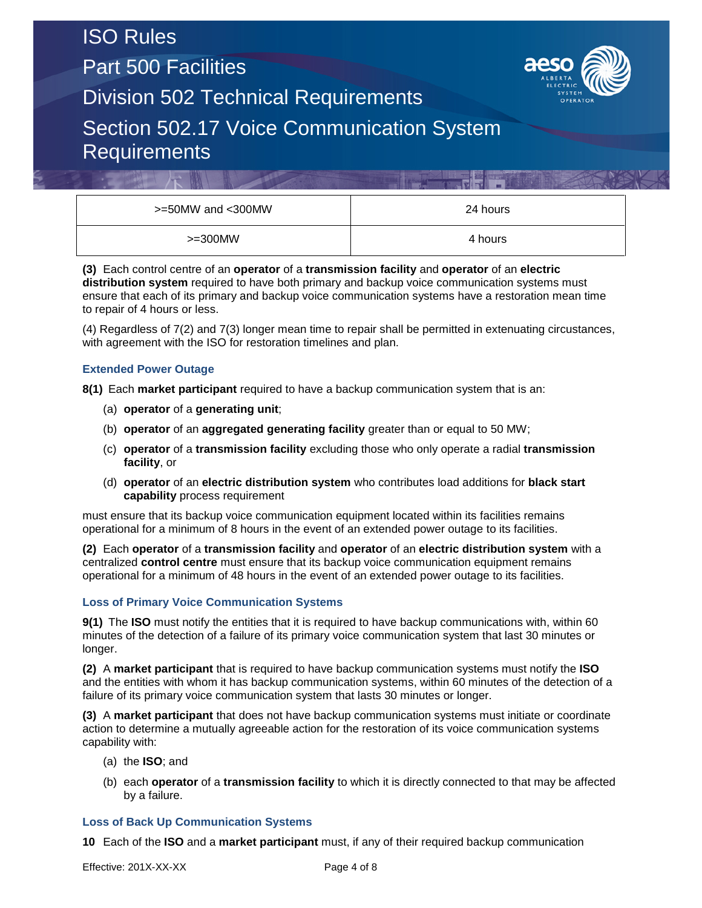Part 500 Facilities



Division 502 Technical Requirements

### Section 502.17 Voice Communication System **Requirements**

| >=50MW and <300MW | 24 hours |
|-------------------|----------|
| $>=300$ MW        | 4 hours  |

**(3)** Each control centre of an **operator** of a **transmission facility** and **operator** of an **electric distribution system** required to have both primary and backup voice communication systems must ensure that each of its primary and backup voice communication systems have a restoration mean time to repair of 4 hours or less.

(4) Regardless of 7(2) and 7(3) longer mean time to repair shall be permitted in extenuating circustances, with agreement with the ISO for restoration timelines and plan.

#### **Extended Power Outage**

**8(1)** Each **market participant** required to have a backup communication system that is an:

- (a) **operator** of a **generating unit**;
- (b) **operator** of an **aggregated generating facility** greater than or equal to 50 MW;
- (c) **operator** of a **transmission facility** excluding those who only operate a radial **transmission facility**, or
- (d) **operator** of an **electric distribution system** who contributes load additions for **black start capability** process requirement

must ensure that its backup voice communication equipment located within its facilities remains operational for a minimum of 8 hours in the event of an extended power outage to its facilities.

**(2)** Each **operator** of a **transmission facility** and **operator** of an **electric distribution system** with a centralized **control centre** must ensure that its backup voice communication equipment remains operational for a minimum of 48 hours in the event of an extended power outage to its facilities.

#### **Loss of Primary Voice Communication Systems**

**9(1)** The **ISO** must notify the entities that it is required to have backup communications with, within 60 minutes of the detection of a failure of its primary voice communication system that last 30 minutes or longer.

**(2)** A **market participant** that is required to have backup communication systems must notify the **ISO** and the entities with whom it has backup communication systems, within 60 minutes of the detection of a failure of its primary voice communication system that lasts 30 minutes or longer.

**(3)** A **market participant** that does not have backup communication systems must initiate or coordinate action to determine a mutually agreeable action for the restoration of its voice communication systems capability with:

- (a) the **ISO**; and
- (b) each **operator** of a **transmission facility** to which it is directly connected to that may be affected by a failure.

#### **Loss of Back Up Communication Systems**

**10** Each of the **ISO** and a **market participant** must, if any of their required backup communication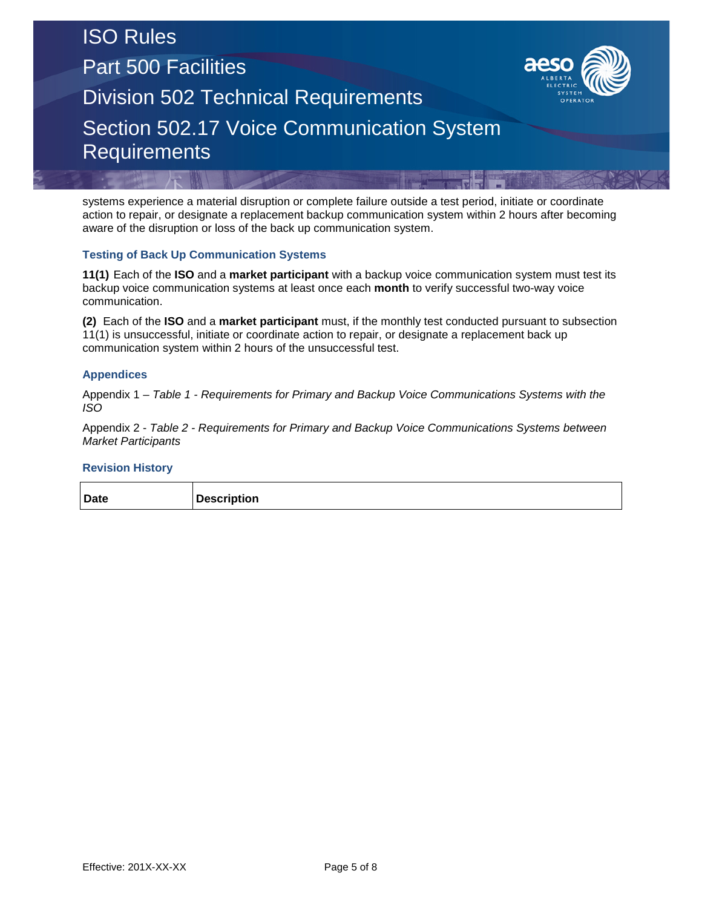## ISO Rules Part 500 Facilities Division 502 Technical Requirements Section 502.17 Voice Communication System **Requirements**



systems experience a material disruption or complete failure outside a test period, initiate or coordinate action to repair, or designate a replacement backup communication system within 2 hours after becoming aware of the disruption or loss of the back up communication system.

#### **Testing of Back Up Communication Systems**

**11(1)** Each of the **ISO** and a **market participant** with a backup voice communication system must test its backup voice communication systems at least once each **month** to verify successful two-way voice communication.

**(2)** Each of the **ISO** and a **market participant** must, if the monthly test conducted pursuant to subsection 11(1) is unsuccessful, initiate or coordinate action to repair, or designate a replacement back up communication system within 2 hours of the unsuccessful test.

#### **Appendices**

Appendix 1 – *Table 1 - Requirements for Primary and Backup Voice Communications Systems with the ISO*

Appendix 2 - *Table 2 - Requirements for Primary and Backup Voice Communications Systems between Market Participants*

#### **Revision History**

|--|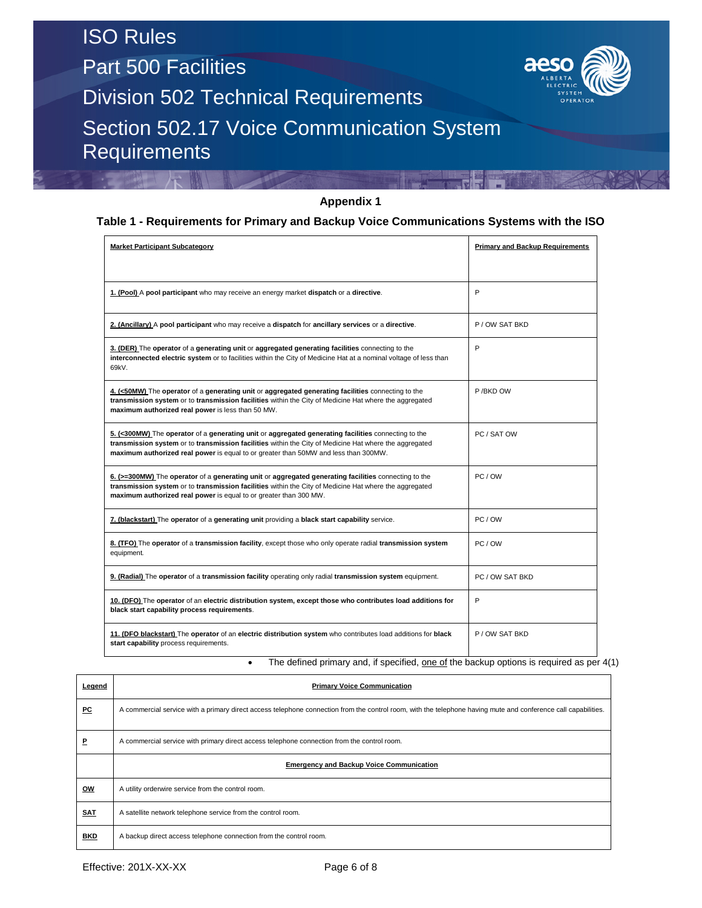**Requirements** 

Part 500 Facilities



Division 502 Technical Requirements Section 502.17 Voice Communication System

#### **Appendix 1**

#### **Table 1 - Requirements for Primary and Backup Voice Communications Systems with the ISO**

| <b>Market Participant Subcategory</b>                                                                                                                                                                                                                                                                | <b>Primary and Backup Requirements</b> |  |
|------------------------------------------------------------------------------------------------------------------------------------------------------------------------------------------------------------------------------------------------------------------------------------------------------|----------------------------------------|--|
|                                                                                                                                                                                                                                                                                                      |                                        |  |
| 1. (Pool) A pool participant who may receive an energy market dispatch or a directive.                                                                                                                                                                                                               | P                                      |  |
| 2. (Ancillary) A pool participant who may receive a dispatch for ancillary services or a directive.                                                                                                                                                                                                  | P/OW SAT BKD                           |  |
| 3. (DER) The operator of a generating unit or aggregated generating facilities connecting to the<br>interconnected electric system or to facilities within the City of Medicine Hat at a nominal voltage of less than<br>69kV.                                                                       | P                                      |  |
| 4. (<50MW) The operator of a generating unit or aggregated generating facilities connecting to the<br>transmission system or to transmission facilities within the City of Medicine Hat where the aggregated<br>maximum authorized real power is less than 50 MW.                                    | P /BKD OW                              |  |
| 5. (<300MW) The operator of a generating unit or aggregated generating facilities connecting to the<br>transmission system or to transmission facilities within the City of Medicine Hat where the aggregated<br>maximum authorized real power is equal to or greater than 50MW and less than 300MW. | PC / SAT OW                            |  |
| 6. (>=300MW) The operator of a generating unit or aggregated generating facilities connecting to the<br>transmission system or to transmission facilities within the City of Medicine Hat where the aggregated<br>maximum authorized real power is equal to or greater than 300 MW.                  | PC / OW                                |  |
| 7. (blackstart) The operator of a generating unit providing a black start capability service.                                                                                                                                                                                                        | PC / OW                                |  |
| 8. (TFO) The operator of a transmission facility, except those who only operate radial transmission system<br>equipment.                                                                                                                                                                             | PC/OW                                  |  |
| 9. (Radial) The operator of a transmission facility operating only radial transmission system equipment.                                                                                                                                                                                             | PC / OW SAT BKD                        |  |
| 10. (DFO) The operator of an electric distribution system, except those who contributes load additions for<br>black start capability process requirements.                                                                                                                                           | P                                      |  |
| 11. (DFO blackstart) The operator of an electric distribution system who contributes load additions for black<br>start capability process requirements.                                                                                                                                              | P / OW SAT BKD                         |  |

• The defined primary and, if specified, one of the backup options is required as per 4(1)

| Legend     | <b>Primary Voice Communication</b>                                                                                                                             |
|------------|----------------------------------------------------------------------------------------------------------------------------------------------------------------|
| PC         | A commercial service with a primary direct access telephone connection from the control room, with the telephone having mute and conference call capabilities. |
| Р          | A commercial service with primary direct access telephone connection from the control room.                                                                    |
|            | <b>Emergency and Backup Voice Communication</b>                                                                                                                |
| ow         | A utility orderwire service from the control room.                                                                                                             |
| <b>SAT</b> | A satellite network telephone service from the control room.                                                                                                   |
| <b>BKD</b> | A backup direct access telephone connection from the control room.                                                                                             |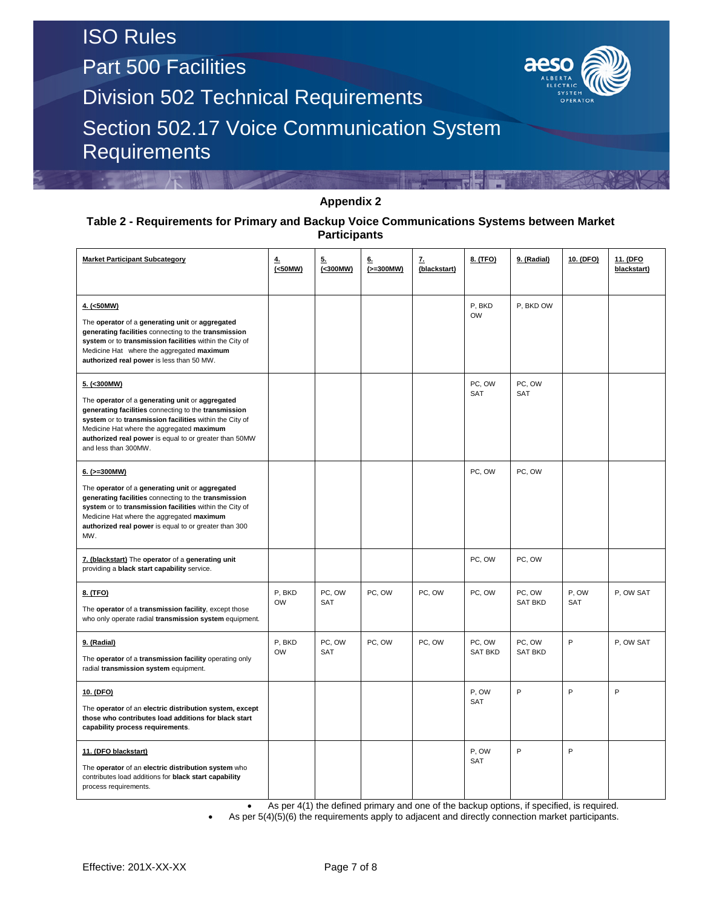Part 500 Facilities



Division 502 Technical Requirements

Section 502.17 Voice Communication System Requirements

#### **Appendix 2**

#### **Table 2 - Requirements for Primary and Backup Voice Communications Systems between Market Participants**

| <b>Market Participant Subcategory</b>                                                                                                                                                                                                                                                                            | 4.<br>(<50MW)       | 5.<br>(<300MW)       | 6.<br>$(>=300MW)$ | z.<br>(blackstart) | 8. (TFO)                 | 9. (Radial)              | 10. (DFO)           | 11. (DFO<br>blackstart) |
|------------------------------------------------------------------------------------------------------------------------------------------------------------------------------------------------------------------------------------------------------------------------------------------------------------------|---------------------|----------------------|-------------------|--------------------|--------------------------|--------------------------|---------------------|-------------------------|
| 4. (<50MW)<br>The operator of a generating unit or aggregated<br>generating facilities connecting to the transmission<br>system or to transmission facilities within the City of<br>Medicine Hat where the aggregated maximum<br>authorized real power is less than 50 MW.                                       |                     |                      |                   |                    | P. BKD<br><b>OW</b>      | P, BKD OW                |                     |                         |
| 5. (<300MW)<br>The operator of a generating unit or aggregated<br>generating facilities connecting to the transmission<br>system or to transmission facilities within the City of<br>Medicine Hat where the aggregated maximum<br>authorized real power is equal to or greater than 50MW<br>and less than 300MW. |                     |                      |                   |                    | PC, OW<br>SAT            | PC, OW<br>SAT            |                     |                         |
| $6.$ ( $>=300$ MW)<br>The operator of a generating unit or aggregated<br>generating facilities connecting to the transmission<br>system or to transmission facilities within the City of<br>Medicine Hat where the aggregated maximum<br>authorized real power is equal to or greater than 300<br>MW.            |                     |                      |                   |                    | PC, OW                   | PC, OW                   |                     |                         |
| 7. (blackstart) The operator of a generating unit<br>providing a black start capability service.                                                                                                                                                                                                                 |                     |                      |                   |                    | PC, OW                   | PC, OW                   |                     |                         |
| 8. (TFO)<br>The operator of a transmission facility, except those<br>who only operate radial transmission system equipment.                                                                                                                                                                                      | P, BKD<br><b>OW</b> | PC, OW<br><b>SAT</b> | PC, OW            | PC, OW             | PC, OW                   | PC, OW<br><b>SAT BKD</b> | P, OW<br><b>SAT</b> | P, OW SAT               |
| 9. (Radial)<br>The operator of a transmission facility operating only<br>radial transmission system equipment.                                                                                                                                                                                                   | P, BKD<br><b>OW</b> | PC, OW<br>SAT        | PC, OW            | PC, OW             | PC, OW<br><b>SAT BKD</b> | PC, OW<br><b>SAT BKD</b> | P                   | P, OW SAT               |
| 10. (DFO)<br>The operator of an electric distribution system, except<br>those who contributes load additions for black start<br>capability process requirements.                                                                                                                                                 |                     |                      |                   |                    | P, OW<br>SAT             | P                        | P                   | P                       |
| 11. (DFO blackstart)<br>The operator of an electric distribution system who<br>contributes load additions for black start capability<br>process requirements.                                                                                                                                                    |                     |                      |                   |                    | P, OW<br>SAT             | P                        | P                   |                         |

• As per 4(1) the defined primary and one of the backup options, if specified, is required.

As per 5(4)(5)(6) the requirements apply to adjacent and directly connection market participants.